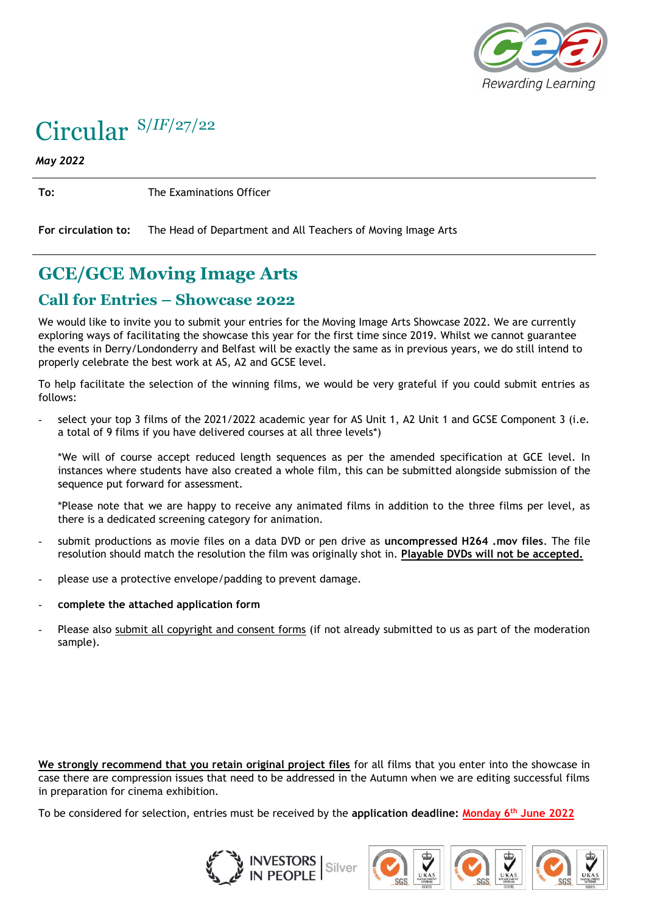

## Circular S/*IF*/27/22

*May 2022*

**To:** The Examinations Officer

**For circulation to:** The Head of Department and All Teachers of Moving Image Arts

## **GCE/GCE Moving Image Arts**

## **Call for Entries – Showcase 2022**

We would like to invite you to submit your entries for the Moving Image Arts Showcase 2022. We are currently exploring ways of facilitating the showcase this year for the first time since 2019. Whilst we cannot guarantee the events in Derry/Londonderry and Belfast will be exactly the same as in previous years, we do still intend to properly celebrate the best work at AS, A2 and GCSE level.

To help facilitate the selection of the winning films, we would be very grateful if you could submit entries as follows:

select your top 3 films of the 2021/2022 academic year for AS Unit 1, A2 Unit 1 and GCSE Component 3 (i.e. a total of 9 films if you have delivered courses at all three levels\*)

\*We will of course accept reduced length sequences as per the amended specification at GCE level. In instances where students have also created a whole film, this can be submitted alongside submission of the sequence put forward for assessment.

\*Please note that we are happy to receive any animated films in addition to the three films per level, as there is a dedicated screening category for animation.

- submit productions as movie files on a data DVD or pen drive as **uncompressed H264 .mov files**. The file resolution should match the resolution the film was originally shot in. **Playable DVDs will not be accepted.**
- please use a protective envelope/padding to prevent damage.
- **complete the attached application form**
- Please also submit all copyright and consent forms (if not already submitted to us as part of the moderation sample).

**We strongly recommend that you retain original project files** for all films that you enter into the showcase in case there are compression issues that need to be addressed in the Autumn when we are editing successful films in preparation for cinema exhibition.

To be considered for selection, entries must be received by the **application deadline: Monday 6th June 2022**